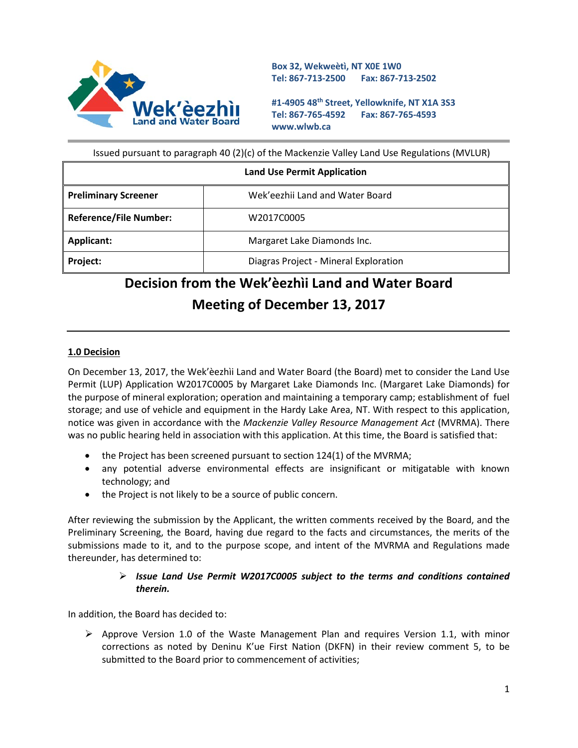

**Box 32, Wekweètì, NT X0E 1W0 Tel: 867-713-2500 Fax: 867-713-2502** 

**#1-4905 48th Street, Yellowknife, NT X1A 3S3 Tel: 867-765-4592 Fax: 867-765-4593 www.wlwb.ca**

Issued pursuant to paragraph 40 (2)(c) of the Mackenzie Valley Land Use Regulations (MVLUR)

| <b>Land Use Permit Application</b> |                                       |
|------------------------------------|---------------------------------------|
| <b>Preliminary Screener</b>        | Wek'eezhii Land and Water Board       |
| <b>Reference/File Number:</b>      | W2017C0005                            |
| Applicant:                         | Margaret Lake Diamonds Inc.           |
| Project:                           | Diagras Project - Mineral Exploration |

# **Decision from the Wek'èezhìi Land and Water Board Meeting of December 13, 2017**

#### **1.0 Decision**

On December 13, 2017, the Wek'èezhìi Land and Water Board (the Board) met to consider the Land Use Permit (LUP) Application W2017C0005 by Margaret Lake Diamonds Inc. (Margaret Lake Diamonds) for the purpose of mineral exploration; operation and maintaining a temporary camp; establishment of fuel storage; and use of vehicle and equipment in the Hardy Lake Area, NT. With respect to this application, notice was given in accordance with the *Mackenzie Valley Resource Management Act* (MVRMA). There was no public hearing held in association with this application. At this time, the Board is satisfied that:

- the Project has been screened pursuant to section 124(1) of the MVRMA;
- any potential adverse environmental effects are insignificant or mitigatable with known technology; and
- the Project is not likely to be a source of public concern.

After reviewing the submission by the Applicant, the written comments received by the Board, and the Preliminary Screening, the Board, having due regard to the facts and circumstances, the merits of the submissions made to it, and to the purpose scope, and intent of the MVRMA and Regulations made thereunder, has determined to:

## *Issue Land Use Permit W2017C0005 subject to the terms and conditions contained therein.*

In addition, the Board has decided to:

 $\triangleright$  Approve Version 1.0 of the Waste Management Plan and requires Version 1.1, with minor corrections as noted by Deninu K'ue First Nation (DKFN) in their review comment 5, to be submitted to the Board prior to commencement of activities;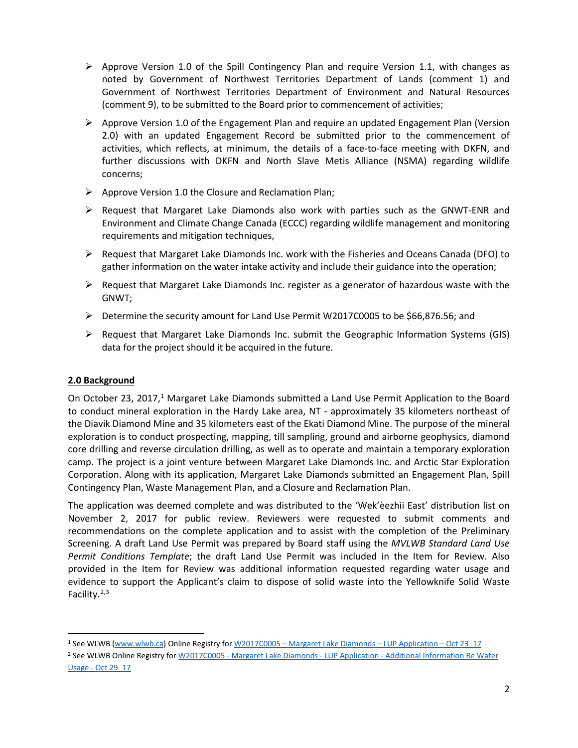- $\triangleright$  Approve Version 1.0 of the Spill Contingency Plan and require Version 1.1, with changes as noted by Government of Northwest Territories Department of Lands (comment 1) and Government of Northwest Territories Department of Environment and Natural Resources (comment 9), to be submitted to the Board prior to commencement of activities;
- $\triangleright$  Approve Version 1.0 of the Engagement Plan and require an updated Engagement Plan (Version 2.0) with an updated Engagement Record be submitted prior to the commencement of activities, which reflects, at minimum, the details of a face-to-face meeting with DKFN, and further discussions with DKFN and North Slave Metis Alliance (NSMA) regarding wildlife concerns;
- $\triangleright$  Approve Version 1.0 the Closure and Reclamation Plan;
- $\triangleright$  Request that Margaret Lake Diamonds also work with parties such as the GNWT-ENR and Environment and Climate Change Canada (ECCC) regarding wildlife management and monitoring requirements and mitigation techniques,
- $\triangleright$  Request that Margaret Lake Diamonds Inc. work with the Fisheries and Oceans Canada (DFO) to gather information on the water intake activity and include their guidance into the operation;
- $\triangleright$  Request that Margaret Lake Diamonds Inc. register as a generator of hazardous waste with the GNWT;
- $\triangleright$  Determine the security amount for Land Use Permit W2017C0005 to be \$66,876.56; and
- $\triangleright$  Request that Margaret Lake Diamonds Inc. submit the Geographic Information Systems (GIS) data for the project should it be acquired in the future.

# **2.0 Background**

On October 23, 2017,<sup>1</sup> Margaret Lake Diamonds submitted a Land Use Permit Application to the Board to conduct mineral exploration in the Hardy Lake area, NT - approximately 35 kilometers northeast of the Diavik Diamond Mine and 35 kilometers east of the Ekati Diamond Mine. The purpose of the mineral exploration is to conduct prospecting, mapping, till sampling, ground and airborne geophysics, diamond core drilling and reverse circulation drilling, as well as to operate and maintain a temporary exploration camp. The project is a joint venture between Margaret Lake Diamonds Inc. and Arctic Star Exploration Corporation. Along with its application, Margaret Lake Diamonds submitted an Engagement Plan, Spill Contingency Plan, Waste Management Plan, and a Closure and Reclamation Plan.

The application was deemed complete and was distributed to the 'Wek'èezhìi East' distribution list on November 2, 2017 for public review. Reviewers were requested to submit comments and recommendations on the complete application and to assist with the completion of the Preliminary Screening. A draft Land Use Permit was prepared by Board staff using the *MVLWB Standard Land Use Permit Conditions Template*; the draft Land Use Permit was included in the Item for Review. Also provided in the Item for Review was additional information requested regarding water usage and evidence to support the Applicant's claim to dispose of solid waste into the Yellowknife Solid Waste Facility. $2,3$  $2,3$  $2,3$ 

<span id="page-1-2"></span><span id="page-1-0"></span><sup>&</sup>lt;sup>1</sup> See WLWB [\(www.wlwb.ca\)](http://www.wlwb.ca/) Online Registry for W2017C0005 – [Margaret Lake Diamonds –](http://registry.mvlwb.ca/Documents/W2017C0005/W2017C0005%20-%20Margaret%20Lake%20Diamonds%20-%20LUP%20Application%20-%20Oct%2023_17.pdf) LUP Application – Oct 23\_17

<span id="page-1-1"></span><sup>2</sup> See WLWB Online Registry for W2017C0005 - Margaret Lake Diamonds - LUP Application - [Additional Information Re Water](http://registry.mvlwb.ca/Documents/W2017C0005/W2017C0005%20-%20Margaret%20Lake%20Diamonds%20-%20LUP%20Application%20-%20Additional%20Information%20Re%20Water%20Usage%20-%20Oct%2029_17.pdf)  Usage - [Oct 29\\_17](http://registry.mvlwb.ca/Documents/W2017C0005/W2017C0005%20-%20Margaret%20Lake%20Diamonds%20-%20LUP%20Application%20-%20Additional%20Information%20Re%20Water%20Usage%20-%20Oct%2029_17.pdf)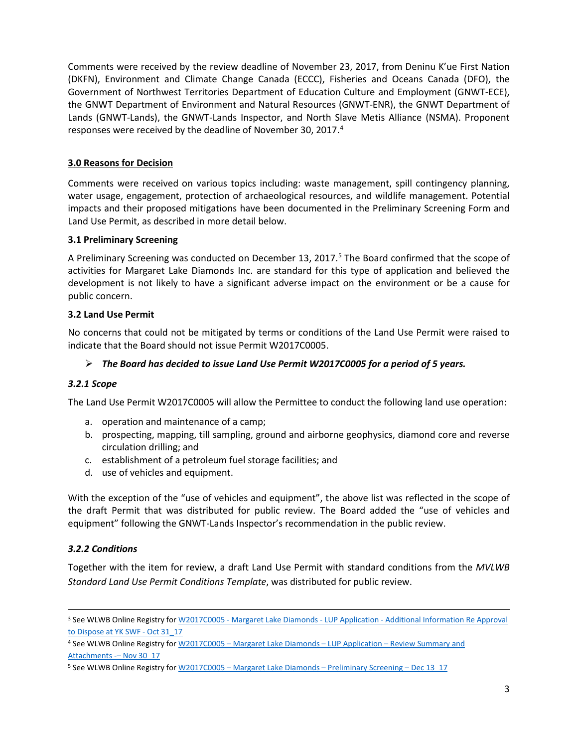Comments were received by the review deadline of November 23, 2017, from Deninu K'ue First Nation (DKFN), Environment and Climate Change Canada (ECCC), Fisheries and Oceans Canada (DFO), the Government of Northwest Territories Department of Education Culture and Employment (GNWT-ECE), the GNWT Department of Environment and Natural Resources (GNWT-ENR), the GNWT Department of Lands (GNWT-Lands), the GNWT-Lands Inspector, and North Slave Metis Alliance (NSMA). Proponent responses were received by the deadline of November 30, 2017.<sup>[4](#page-2-0)</sup>

# **3.0 Reasons for Decision**

Comments were received on various topics including: waste management, spill contingency planning, water usage, engagement, protection of archaeological resources, and wildlife management. Potential impacts and their proposed mitigations have been documented in the Preliminary Screening Form and Land Use Permit, as described in more detail below.

# **3.1 Preliminary Screening**

A Preliminary Screening was conducted on December 13, 2017. [5](#page-2-1) The Board confirmed that the scope of activities for Margaret Lake Diamonds Inc. are standard for this type of application and believed the development is not likely to have a significant adverse impact on the environment or be a cause for public concern.

## **3.2 Land Use Permit**

No concerns that could not be mitigated by terms or conditions of the Land Use Permit were raised to indicate that the Board should not issue Permit W2017C0005.

# *The Board has decided to issue Land Use Permit W2017C0005 for a period of 5 years.*

# *3.2.1 Scope*

The Land Use Permit W2017C0005 will allow the Permittee to conduct the following land use operation:

- a. operation and maintenance of a camp;
- b. prospecting, mapping, till sampling, ground and airborne geophysics, diamond core and reverse circulation drilling; and
- c. establishment of a petroleum fuel storage facilities; and
- d. use of vehicles and equipment.

With the exception of the "use of vehicles and equipment", the above list was reflected in the scope of the draft Permit that was distributed for public review. The Board added the "use of vehicles and equipment" following the GNWT-Lands Inspector's recommendation in the public review.

# *3.2.2 Conditions*

Together with the item for review, a draft Land Use Permit with standard conditions from the *MVLWB Standard Land Use Permit Conditions Template*, was distributed for public review.

 <sup>3</sup> See WLWB Online Registry for W2017C0005 - Margaret Lake Diamonds - LUP Application - [Additional Information Re Approval](http://registry.mvlwb.ca/Documents/W2017C0005/W2017C0005%20-%20Margaret%20Lake%20Diamonds%20-%20LUP%20Application%20-%20Additional%20Information%20Re%20Approval%20to%20Dispose%20at%20YK%20SWF%20-%20Oct%2031_17.pdf)  [to Dispose at YK SWF -](http://registry.mvlwb.ca/Documents/W2017C0005/W2017C0005%20-%20Margaret%20Lake%20Diamonds%20-%20LUP%20Application%20-%20Additional%20Information%20Re%20Approval%20to%20Dispose%20at%20YK%20SWF%20-%20Oct%2031_17.pdf) Oct 31\_17

<span id="page-2-0"></span><sup>4</sup> See WLWB Online Registry for W2017C0005 – [Margaret Lake Diamonds –](http://registry.mvlwb.ca/Documents/W2017C0005/W2017C0005%20-%20Margaret%20Lake%20Diamonds%20-%20LUP%20Application%20-%20Review%20Summary%20and%20Attachments%20-%20Nov%2030_17.pdf) LUP Application – Review Summary and Attachments - Nov 30\_17

<span id="page-2-1"></span><sup>5</sup> See WLWB Online Registry for W2017C0005 – [Margaret Lake Diamonds –](http://registry.mvlwb.ca/Documents/W2017C0005/W2017C0005%20-%20Margaret%20Lake%20Diamonds%20-%20Preliminary%20Screening%20-%20Dec%2013_17.pdf) Preliminary Screening – Dec 13\_17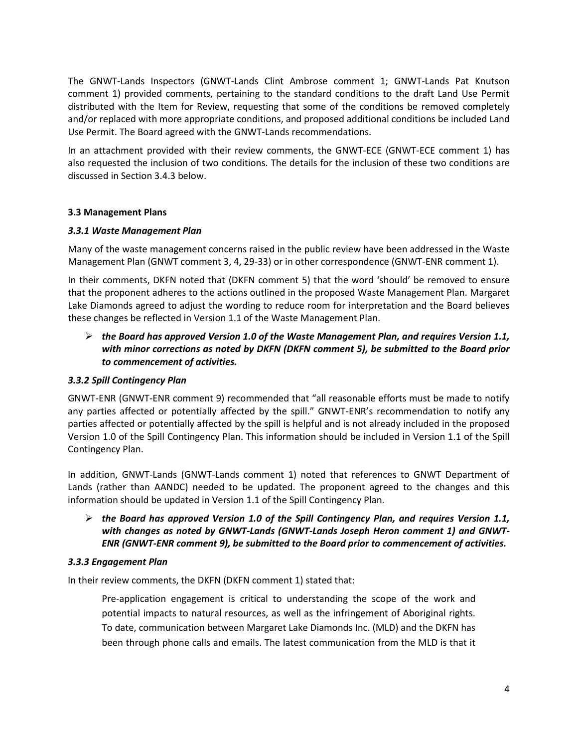The GNWT-Lands Inspectors (GNWT-Lands Clint Ambrose comment 1; GNWT-Lands Pat Knutson comment 1) provided comments, pertaining to the standard conditions to the draft Land Use Permit distributed with the Item for Review, requesting that some of the conditions be removed completely and/or replaced with more appropriate conditions, and proposed additional conditions be included Land Use Permit. The Board agreed with the GNWT-Lands recommendations.

In an attachment provided with their review comments, the GNWT-ECE (GNWT-ECE comment 1) has also requested the inclusion of two conditions. The details for the inclusion of these two conditions are discussed in Section 3.4.3 below.

## **3.3 Management Plans**

#### *3.3.1 Waste Management Plan*

Many of the waste management concerns raised in the public review have been addressed in the Waste Management Plan (GNWT comment 3, 4, 29-33) or in other correspondence (GNWT-ENR comment 1).

In their comments, DKFN noted that (DKFN comment 5) that the word 'should' be removed to ensure that the proponent adheres to the actions outlined in the proposed Waste Management Plan. Margaret Lake Diamonds agreed to adjust the wording to reduce room for interpretation and the Board believes these changes be reflected in Version 1.1 of the Waste Management Plan.

 *the Board has approved Version 1.0 of the Waste Management Plan, and requires Version 1.1, with minor corrections as noted by DKFN (DKFN comment 5), be submitted to the Board prior to commencement of activities.*

# *3.3.2 Spill Contingency Plan*

GNWT-ENR (GNWT-ENR comment 9) recommended that "all reasonable efforts must be made to notify any parties affected or potentially affected by the spill." GNWT-ENR's recommendation to notify any parties affected or potentially affected by the spill is helpful and is not already included in the proposed Version 1.0 of the Spill Contingency Plan. This information should be included in Version 1.1 of the Spill Contingency Plan.

In addition, GNWT-Lands (GNWT-Lands comment 1) noted that references to GNWT Department of Lands (rather than AANDC) needed to be updated. The proponent agreed to the changes and this information should be updated in Version 1.1 of the Spill Contingency Plan.

# *the Board has approved Version 1.0 of the Spill Contingency Plan, and requires Version 1.1, with changes as noted by GNWT-Lands (GNWT-Lands Joseph Heron comment 1) and GNWT-ENR (GNWT-ENR comment 9), be submitted to the Board prior to commencement of activities.*

#### *3.3.3 Engagement Plan*

In their review comments, the DKFN (DKFN comment 1) stated that:

Pre-application engagement is critical to understanding the scope of the work and potential impacts to natural resources, as well as the infringement of Aboriginal rights. To date, communication between Margaret Lake Diamonds Inc. (MLD) and the DKFN has been through phone calls and emails. The latest communication from the MLD is that it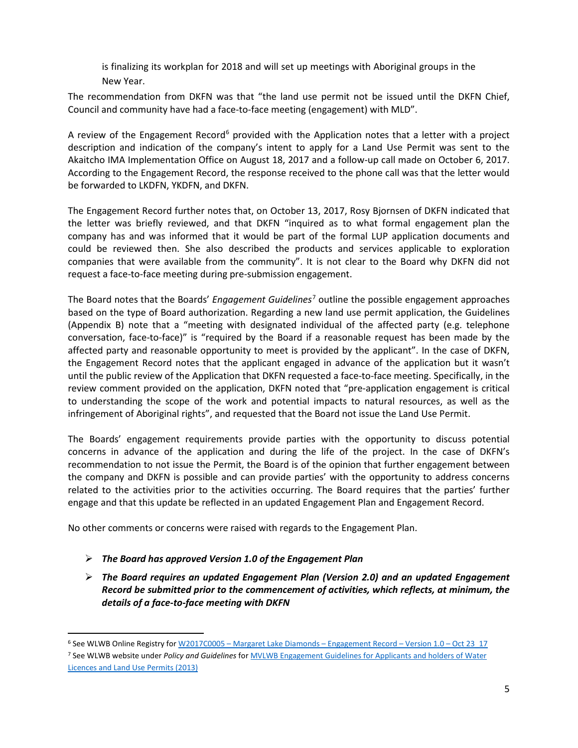is finalizing its workplan for 2018 and will set up meetings with Aboriginal groups in the New Year.

The recommendation from DKFN was that "the land use permit not be issued until the DKFN Chief, Council and community have had a face-to-face meeting (engagement) with MLD".

A review of the Engagement Record<sup>6</sup> provided with the Application notes that a letter with a project description and indication of the company's intent to apply for a Land Use Permit was sent to the Akaitcho IMA Implementation Office on August 18, 2017 and a follow-up call made on October 6, 2017. According to the Engagement Record, the response received to the phone call was that the letter would be forwarded to LKDFN, YKDFN, and DKFN.

The Engagement Record further notes that, on October 13, 2017, Rosy Bjornsen of DKFN indicated that the letter was briefly reviewed, and that DKFN "inquired as to what formal engagement plan the company has and was informed that it would be part of the formal LUP application documents and could be reviewed then. She also described the products and services applicable to exploration companies that were available from the community". It is not clear to the Board why DKFN did not request a face-to-face meeting during pre-submission engagement.

The Board notes that the Boards' *Engagement Guidelines*[7](#page-4-1) outline the possible engagement approaches based on the type of Board authorization. Regarding a new land use permit application, the Guidelines (Appendix B) note that a "meeting with designated individual of the affected party (e.g. telephone conversation, face-to-face)" is "required by the Board if a reasonable request has been made by the affected party and reasonable opportunity to meet is provided by the applicant". In the case of DKFN, the Engagement Record notes that the applicant engaged in advance of the application but it wasn't until the public review of the Application that DKFN requested a face-to-face meeting. Specifically, in the review comment provided on the application, DKFN noted that "pre-application engagement is critical to understanding the scope of the work and potential impacts to natural resources, as well as the infringement of Aboriginal rights", and requested that the Board not issue the Land Use Permit.

The Boards' engagement requirements provide parties with the opportunity to discuss potential concerns in advance of the application and during the life of the project. In the case of DKFN's recommendation to not issue the Permit, the Board is of the opinion that further engagement between the company and DKFN is possible and can provide parties' with the opportunity to address concerns related to the activities prior to the activities occurring. The Board requires that the parties' further engage and that this update be reflected in an updated Engagement Plan and Engagement Record.

No other comments or concerns were raised with regards to the Engagement Plan.

- *The Board has approved Version 1.0 of the Engagement Plan*
- *The Board requires an updated Engagement Plan (Version 2.0) and an updated Engagement Record be submitted prior to the commencement of activities, which reflects, at minimum, the details of a face-to-face meeting with DKFN*

<span id="page-4-0"></span> <sup>6</sup> See WLWB Online Registry for W2017C0005 – [Margaret Lake Diamonds –](http://registry.mvlwb.ca/Documents/W2017C0005/W2017C0005%20-%20Margaret%20Lake%20Diamonds%20-%20Engagement%20Record%20-%20Version%201.0%20-%20Oct%2023_17.pdf) Engagement Record – Version 1.0 – Oct 23\_17

<span id="page-4-1"></span><sup>7</sup> See WLWB website under *Policy and Guidelines* fo[r MVLWB Engagement Guidelines for Applicants and holders of Water](https://mvlwb.com/sites/default/files/documents/wg/MVLWB%20Engagement%20Guidelines%20for%20Holders%20of%20LUPs%20and%20WLs%20-%20Oct%202014.pdf)  [Licences and Land Use Permits \(2013\)](https://mvlwb.com/sites/default/files/documents/wg/MVLWB%20Engagement%20Guidelines%20for%20Holders%20of%20LUPs%20and%20WLs%20-%20Oct%202014.pdf)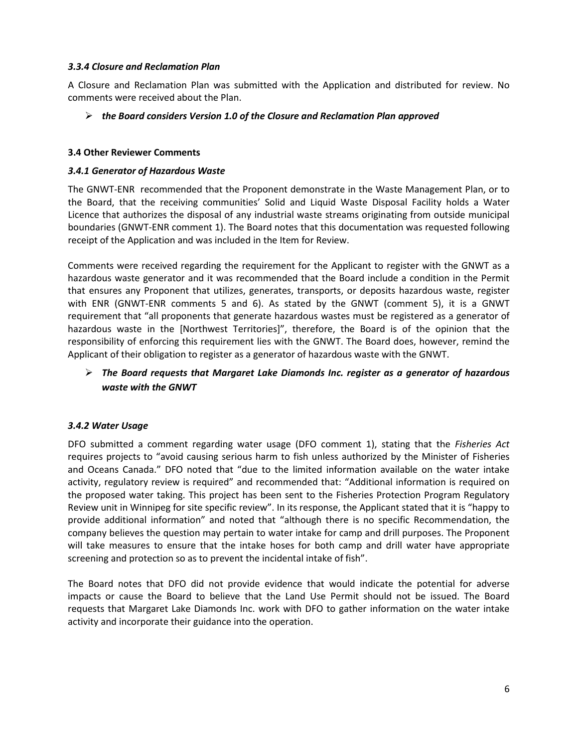#### *3.3.4 Closure and Reclamation Plan*

A Closure and Reclamation Plan was submitted with the Application and distributed for review. No comments were received about the Plan.

## *the Board considers Version 1.0 of the Closure and Reclamation Plan approved*

#### **3.4 Other Reviewer Comments**

## *3.4.1 Generator of Hazardous Waste*

The GNWT-ENR recommended that the Proponent demonstrate in the Waste Management Plan, or to the Board, that the receiving communities' Solid and Liquid Waste Disposal Facility holds a Water Licence that authorizes the disposal of any industrial waste streams originating from outside municipal boundaries (GNWT-ENR comment 1). The Board notes that this documentation was requested following receipt of the Application and was included in the Item for Review.

Comments were received regarding the requirement for the Applicant to register with the GNWT as a hazardous waste generator and it was recommended that the Board include a condition in the Permit that ensures any Proponent that utilizes, generates, transports, or deposits hazardous waste, register with ENR (GNWT-ENR comments 5 and 6). As stated by the GNWT (comment 5), it is a GNWT requirement that "all proponents that generate hazardous wastes must be registered as a generator of hazardous waste in the [Northwest Territories]", therefore, the Board is of the opinion that the responsibility of enforcing this requirement lies with the GNWT. The Board does, however, remind the Applicant of their obligation to register as a generator of hazardous waste with the GNWT.

# *The Board requests that Margaret Lake Diamonds Inc. register as a generator of hazardous waste with the GNWT*

# *3.4.2 Water Usage*

DFO submitted a comment regarding water usage (DFO comment 1), stating that the *Fisheries Act* requires projects to "avoid causing serious harm to fish unless authorized by the Minister of Fisheries and Oceans Canada." DFO noted that "due to the limited information available on the water intake activity, regulatory review is required" and recommended that: "Additional information is required on the proposed water taking. This project has been sent to the Fisheries Protection Program Regulatory Review unit in Winnipeg for site specific review". In its response, the Applicant stated that it is "happy to provide additional information" and noted that "although there is no specific Recommendation, the company believes the question may pertain to water intake for camp and drill purposes. The Proponent will take measures to ensure that the intake hoses for both camp and drill water have appropriate screening and protection so as to prevent the incidental intake of fish".

The Board notes that DFO did not provide evidence that would indicate the potential for adverse impacts or cause the Board to believe that the Land Use Permit should not be issued. The Board requests that Margaret Lake Diamonds Inc. work with DFO to gather information on the water intake activity and incorporate their guidance into the operation.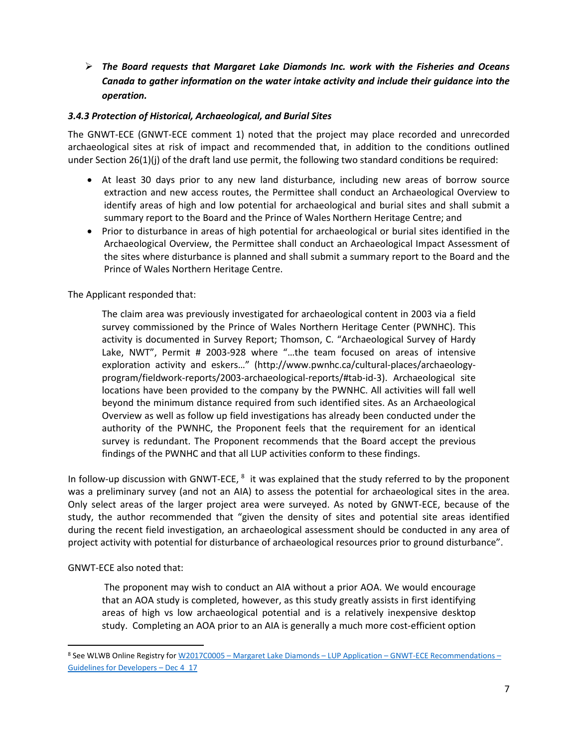*The Board requests that Margaret Lake Diamonds Inc. work with the Fisheries and Oceans Canada to gather information on the water intake activity and include their guidance into the operation.*

# *3.4.3 Protection of Historical, Archaeological, and Burial Sites*

The GNWT-ECE (GNWT-ECE comment 1) noted that the project may place recorded and unrecorded archaeological sites at risk of impact and recommended that, in addition to the conditions outlined under Section 26(1)(j) of the draft land use permit, the following two standard conditions be required:

- At least 30 days prior to any new land disturbance, including new areas of borrow source extraction and new access routes, the Permittee shall conduct an Archaeological Overview to identify areas of high and low potential for archaeological and burial sites and shall submit a summary report to the Board and the Prince of Wales Northern Heritage Centre; and
- Prior to disturbance in areas of high potential for archaeological or burial sites identified in the Archaeological Overview, the Permittee shall conduct an Archaeological Impact Assessment of the sites where disturbance is planned and shall submit a summary report to the Board and the Prince of Wales Northern Heritage Centre.

The Applicant responded that:

The claim area was previously investigated for archaeological content in 2003 via a field survey commissioned by the Prince of Wales Northern Heritage Center (PWNHC). This activity is documented in Survey Report; Thomson, C. "Archaeological Survey of Hardy Lake, NWT", Permit # 2003-928 where "…the team focused on areas of intensive exploration activity and eskers…" (http://www.pwnhc.ca/cultural-places/archaeologyprogram/fieldwork-reports/2003-archaeological-reports/#tab-id-3). Archaeological site locations have been provided to the company by the PWNHC. All activities will fall well beyond the minimum distance required from such identified sites. As an Archaeological Overview as well as follow up field investigations has already been conducted under the authority of the PWNHC, the Proponent feels that the requirement for an identical survey is redundant. The Proponent recommends that the Board accept the previous findings of the PWNHC and that all LUP activities conform to these findings.

In follow-up discussion with GNWT-ECE,  $8$  it was explained that the study referred to by the proponent was a preliminary survey (and not an AIA) to assess the potential for archaeological sites in the area. Only select areas of the larger project area were surveyed. As noted by GNWT-ECE, because of the study, the author recommended that "given the density of sites and potential site areas identified during the recent field investigation, an archaeological assessment should be conducted in any area of project activity with potential for disturbance of archaeological resources prior to ground disturbance".

#### GNWT-ECE also noted that:

The proponent may wish to conduct an AIA without a prior AOA. We would encourage that an AOA study is completed, however, as this study greatly assists in first identifying areas of high vs low archaeological potential and is a relatively inexpensive desktop study. Completing an AOA prior to an AIA is generally a much more cost-efficient option

<span id="page-6-0"></span> <sup>8</sup> See WLWB Online Registry for W2017C0005 – Margaret Lake Diamonds – LUP Application – [GNWT-ECE Recommendations –](http://registry.mvlwb.ca/Documents/W2017C0005/W2017C0005%20-%20Margaret%20Lake%20Diamonds%20-%20LUP%20Application%20-%20GNWT-ECE%20Recommendations%20-%20Guidelines%20for%20Developers%20-%20Dec%204_17.pdf) [Guidelines for Developers –](http://registry.mvlwb.ca/Documents/W2017C0005/W2017C0005%20-%20Margaret%20Lake%20Diamonds%20-%20LUP%20Application%20-%20GNWT-ECE%20Recommendations%20-%20Guidelines%20for%20Developers%20-%20Dec%204_17.pdf) Dec 4\_17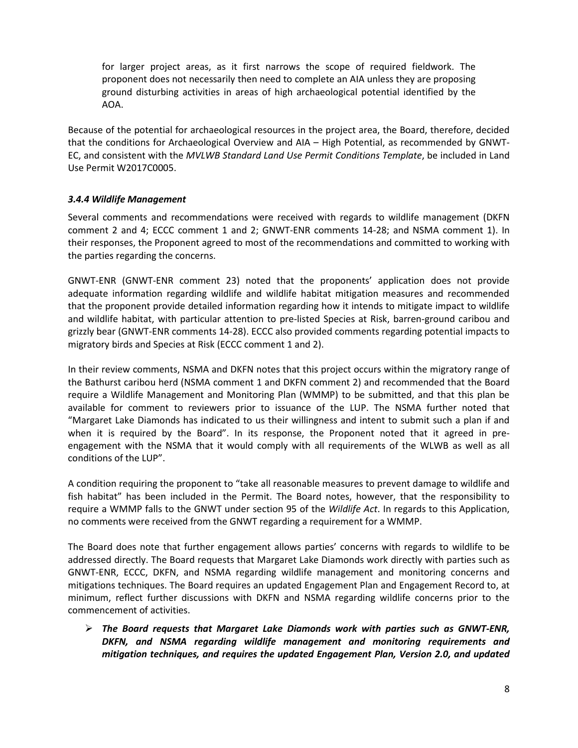for larger project areas, as it first narrows the scope of required fieldwork. The proponent does not necessarily then need to complete an AIA unless they are proposing ground disturbing activities in areas of high archaeological potential identified by the AOA.

Because of the potential for archaeological resources in the project area, the Board, therefore, decided that the conditions for Archaeological Overview and AIA – High Potential, as recommended by GNWT-EC, and consistent with the *MVLWB Standard Land Use Permit Conditions Template*, be included in Land Use Permit W2017C0005.

## *3.4.4 Wildlife Management*

Several comments and recommendations were received with regards to wildlife management (DKFN comment 2 and 4; ECCC comment 1 and 2; GNWT-ENR comments 14-28; and NSMA comment 1). In their responses, the Proponent agreed to most of the recommendations and committed to working with the parties regarding the concerns.

GNWT-ENR (GNWT-ENR comment 23) noted that the proponents' application does not provide adequate information regarding wildlife and wildlife habitat mitigation measures and recommended that the proponent provide detailed information regarding how it intends to mitigate impact to wildlife and wildlife habitat, with particular attention to pre-listed Species at Risk, barren-ground caribou and grizzly bear (GNWT-ENR comments 14-28). ECCC also provided comments regarding potential impacts to migratory birds and Species at Risk (ECCC comment 1 and 2).

In their review comments, NSMA and DKFN notes that this project occurs within the migratory range of the Bathurst caribou herd (NSMA comment 1 and DKFN comment 2) and recommended that the Board require a Wildlife Management and Monitoring Plan (WMMP) to be submitted, and that this plan be available for comment to reviewers prior to issuance of the LUP. The NSMA further noted that "Margaret Lake Diamonds has indicated to us their willingness and intent to submit such a plan if and when it is required by the Board". In its response, the Proponent noted that it agreed in preengagement with the NSMA that it would comply with all requirements of the WLWB as well as all conditions of the LUP".

A condition requiring the proponent to "take all reasonable measures to prevent damage to wildlife and fish habitat" has been included in the Permit. The Board notes, however, that the responsibility to require a WMMP falls to the GNWT under section 95 of the *Wildlife Act*. In regards to this Application, no comments were received from the GNWT regarding a requirement for a WMMP.

The Board does note that further engagement allows parties' concerns with regards to wildlife to be addressed directly. The Board requests that Margaret Lake Diamonds work directly with parties such as GNWT-ENR, ECCC, DKFN, and NSMA regarding wildlife management and monitoring concerns and mitigations techniques. The Board requires an updated Engagement Plan and Engagement Record to, at minimum, reflect further discussions with DKFN and NSMA regarding wildlife concerns prior to the commencement of activities.

 *The Board requests that Margaret Lake Diamonds work with parties such as GNWT-ENR, DKFN, and NSMA regarding wildlife management and monitoring requirements and mitigation techniques, and requires the updated Engagement Plan, Version 2.0, and updated*